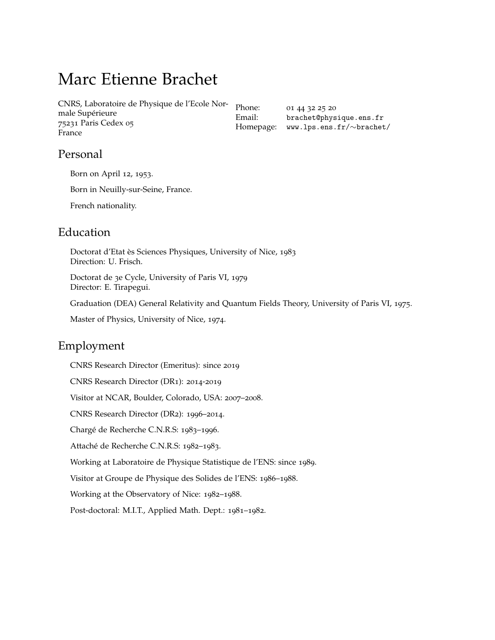# Marc Etienne Brachet

CNRS, Laboratoire de Physique de l'Ecole Normale Supérieure 75231 Paris Cedex 05 France

Phone: 01 44 32 25 20 Email: [brachet@physique.ens.fr](mailto:brachet@physique.ens.fr) Homepage: [www.lps.ens.fr/](http://www.lps.ens.fr/~brachet/)∼brachet/

# Personal

Born on April 12, 1953.

Born in Neuilly-sur-Seine, France.

French nationality.

# Education

Doctorat d'Etat ès Sciences Physiques, University of Nice, 1983 Direction: U. Frisch.

Doctorat de 3e Cycle, University of Paris VI, 1979 Director: E. Tirapegui.

Graduation (DEA) General Relativity and Quantum Fields Theory, University of Paris VI, 1975.

Master of Physics, University of Nice, 1974.

# Employment

CNRS Research Director (Emeritus): since 2019

CNRS Research Director (DR1): 2014-2019

Visitor at NCAR, Boulder, Colorado, USA: 2007–2008.

CNRS Research Director (DR2): 1996–2014.

Chargé de Recherche C.N.R.S: 1983–1996.

Attaché de Recherche C.N.R.S: 1982–1983.

Working at Laboratoire de Physique Statistique de l'ENS: since 1989.

Visitor at Groupe de Physique des Solides de l'ENS: 1986–1988.

Working at the Observatory of Nice: 1982–1988.

Post-doctoral: M.I.T., Applied Math. Dept.: 1981–1982.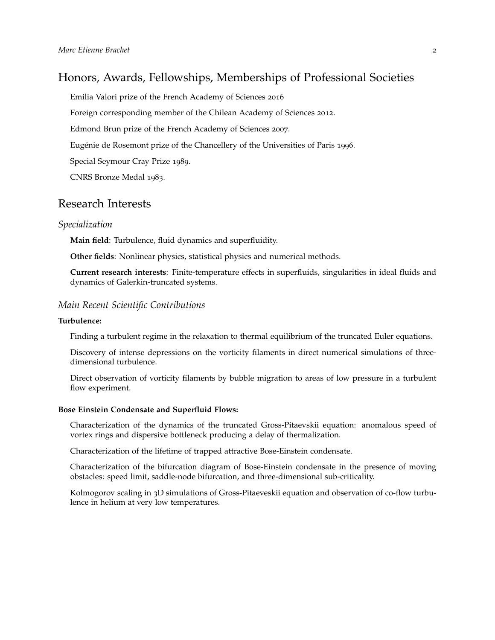## Honors, Awards, Fellowships, Memberships of Professional Societies

Emilia Valori prize of the French Academy of Sciences 2016

Foreign corresponding member of the Chilean Academy of Sciences 2012.

Edmond Brun prize of the French Academy of Sciences 2007.

Eugénie de Rosemont prize of the Chancellery of the Universities of Paris 1996.

Special Seymour Cray Prize 1989.

CNRS Bronze Medal 1983.

### Research Interests

#### *Specialization*

**Main field**: Turbulence, fluid dynamics and superfluidity.

**Other fields**: Nonlinear physics, statistical physics and numerical methods.

**Current research interests**: Finite-temperature effects in superfluids, singularities in ideal fluids and dynamics of Galerkin-truncated systems.

#### *Main Recent Scientific Contributions*

#### **Turbulence:**

Finding a turbulent regime in the relaxation to thermal equilibrium of the truncated Euler equations.

Discovery of intense depressions on the vorticity filaments in direct numerical simulations of threedimensional turbulence.

Direct observation of vorticity filaments by bubble migration to areas of low pressure in a turbulent flow experiment.

#### **Bose Einstein Condensate and Superfluid Flows:**

Characterization of the dynamics of the truncated Gross-Pitaevskii equation: anomalous speed of vortex rings and dispersive bottleneck producing a delay of thermalization.

Characterization of the lifetime of trapped attractive Bose-Einstein condensate.

Characterization of the bifurcation diagram of Bose-Einstein condensate in the presence of moving obstacles: speed limit, saddle-node bifurcation, and three-dimensional sub-criticality.

Kolmogorov scaling in 3D simulations of Gross-Pitaeveskii equation and observation of co-flow turbulence in helium at very low temperatures.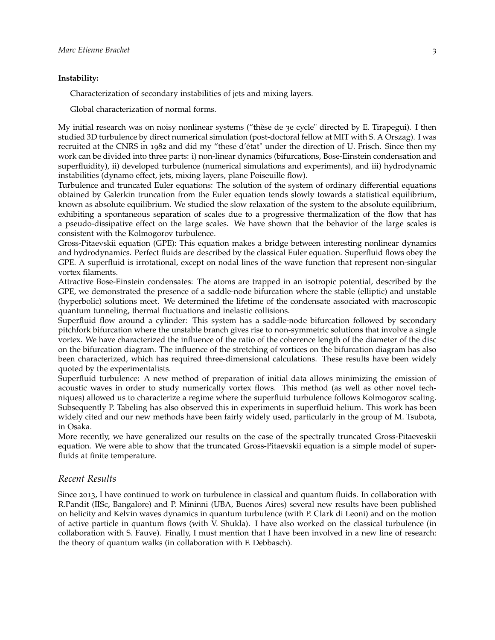#### **Instability:**

Characterization of secondary instabilities of jets and mixing layers.

Global characterization of normal forms.

My initial research was on noisy nonlinear systems ("thèse de 3e cycle" directed by E. Tirapegui). I then studied 3D turbulence by direct numerical simulation (post-doctoral fellow at MIT with S. A Orszag). I was recruited at the CNRS in 1982 and did my "these d'état" under the direction of U. Frisch. Since then my work can be divided into three parts: i) non-linear dynamics (bifurcations, Bose-Einstein condensation and superfluidity), ii) developed turbulence (numerical simulations and experiments), and iii) hydrodynamic instabilities (dynamo effect, jets, mixing layers, plane Poiseuille flow).

Turbulence and truncated Euler equations: The solution of the system of ordinary differential equations obtained by Galerkin truncation from the Euler equation tends slowly towards a statistical equilibrium, known as absolute equilibrium. We studied the slow relaxation of the system to the absolute equilibrium, exhibiting a spontaneous separation of scales due to a progressive thermalization of the flow that has a pseudo-dissipative effect on the large scales. We have shown that the behavior of the large scales is consistent with the Kolmogorov turbulence.

Gross-Pitaevskii equation (GPE): This equation makes a bridge between interesting nonlinear dynamics and hydrodynamics. Perfect fluids are described by the classical Euler equation. Superfluid flows obey the GPE. A superfluid is irrotational, except on nodal lines of the wave function that represent non-singular vortex filaments.

Attractive Bose-Einstein condensates: The atoms are trapped in an isotropic potential, described by the GPE, we demonstrated the presence of a saddle-node bifurcation where the stable (elliptic) and unstable (hyperbolic) solutions meet. We determined the lifetime of the condensate associated with macroscopic quantum tunneling, thermal fluctuations and inelastic collisions.

Superfluid flow around a cylinder: This system has a saddle-node bifurcation followed by secondary pitchfork bifurcation where the unstable branch gives rise to non-symmetric solutions that involve a single vortex. We have characterized the influence of the ratio of the coherence length of the diameter of the disc on the bifurcation diagram. The influence of the stretching of vortices on the bifurcation diagram has also been characterized, which has required three-dimensional calculations. These results have been widely quoted by the experimentalists.

Superfluid turbulence: A new method of preparation of initial data allows minimizing the emission of acoustic waves in order to study numerically vortex flows. This method (as well as other novel techniques) allowed us to characterize a regime where the superfluid turbulence follows Kolmogorov scaling. Subsequently P. Tabeling has also observed this in experiments in superfluid helium. This work has been widely cited and our new methods have been fairly widely used, particularly in the group of M. Tsubota, in Osaka.

More recently, we have generalized our results on the case of the spectrally truncated Gross-Pitaeveskii equation. We were able to show that the truncated Gross-Pitaevskii equation is a simple model of superfluids at finite temperature.

#### *Recent Results*

Since 2013, I have continued to work on turbulence in classical and quantum fluids. In collaboration with R.Pandit (IISc, Bangalore) and P. Mininni (UBA, Buenos Aires) several new results have been published on helicity and Kelvin waves dynamics in quantum turbulence (with P. Clark di Leoni) and on the motion of active particle in quantum flows (with V. Shukla). I have also worked on the classical turbulence (in collaboration with S. Fauve). Finally, I must mention that I have been involved in a new line of research: the theory of quantum walks (in collaboration with F. Debbasch).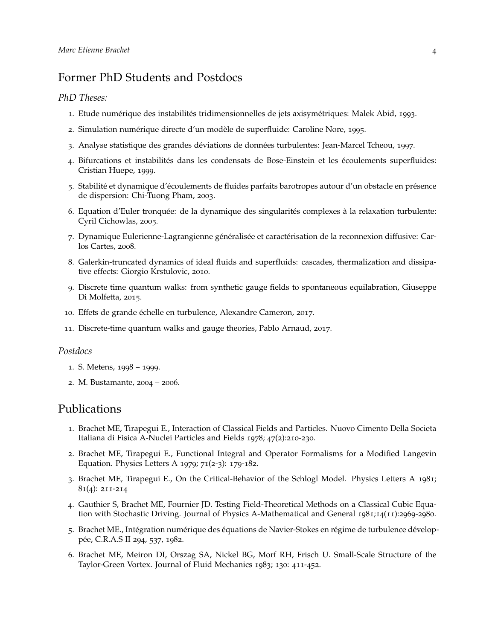# Former PhD Students and Postdocs

### *PhD Theses:*

- 1. Etude numérique des instabilités tridimensionnelles de jets axisymétriques: Malek Abid, 1993.
- 2. Simulation numérique directe d'un modèle de superfluide: Caroline Nore, 1995.
- 3. Analyse statistique des grandes déviations de données turbulentes: Jean-Marcel Tcheou, 1997.
- 4. Bifurcations et instabilités dans les condensats de Bose-Einstein et les écoulements superfluides: Cristian Huepe, 1999.
- 5. Stabilité et dynamique d'écoulements de fluides parfaits barotropes autour d'un obstacle en présence de dispersion: Chi-Tuong Pham, 2003.
- 6. Equation d'Euler tronquée: de la dynamique des singularités complexes à la relaxation turbulente: Cyril Cichowlas, 2005.
- 7. Dynamique Eulerienne-Lagrangienne généralisée et caractérisation de la reconnexion diffusive: Carlos Cartes, 2008.
- 8. Galerkin-truncated dynamics of ideal fluids and superfluids: cascades, thermalization and dissipative effects: Giorgio Krstulovic, 2010.
- 9. Discrete time quantum walks: from synthetic gauge fields to spontaneous equilabration, Giuseppe Di Molfetta, 2015.
- 10. Effets de grande échelle en turbulence, Alexandre Cameron, 2017.
- 11. Discrete-time quantum walks and gauge theories, Pablo Arnaud, 2017.

### *Postdocs*

- 1. S. Metens, 1998 1999.
- 2. M. Bustamante, 2004 2006.

### Publications

- 1. Brachet ME, Tirapegui E., Interaction of Classical Fields and Particles. Nuovo Cimento Della Societa Italiana di Fisica A-Nuclei Particles and Fields 1978; 47(2):210-230.
- 2. Brachet ME, Tirapegui E., Functional Integral and Operator Formalisms for a Modified Langevin Equation. Physics Letters A 1979; 71(2-3): 179-182.
- 3. Brachet ME, Tirapegui E., On the Critical-Behavior of the Schlogl Model. Physics Letters A 1981; 81(4): 211-214
- 4. Gauthier S, Brachet ME, Fournier JD. Testing Field-Theoretical Methods on a Classical Cubic Equation with Stochastic Driving. Journal of Physics A-Mathematical and General 1981;14(11):2969-2980.
- 5. Brachet ME., Intégration numérique des équations de Navier-Stokes en régime de turbulence développée, C.R.A.S II 294, 537, 1982.
- 6. Brachet ME, Meiron DI, Orszag SA, Nickel BG, Morf RH, Frisch U. Small-Scale Structure of the Taylor-Green Vortex. Journal of Fluid Mechanics 1983; 130: 411-452.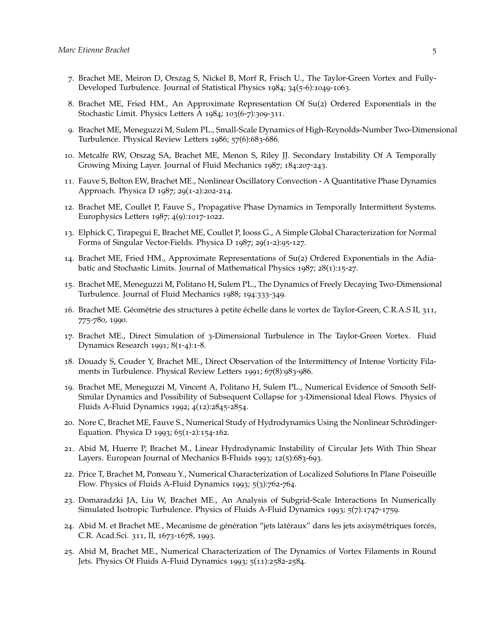- 7. Brachet ME, Meiron D, Orszag S, Nickel B, Morf R, Frisch U., The Taylor-Green Vortex and Fully-Developed Turbulence. Journal of Statistical Physics 1984; 34(5-6):1049-1063.
- 8. Brachet ME, Fried HM., An Approximate Representation Of Su(2) Ordered Exponentials in the Stochastic Limit. Physics Letters A 1984; 103(6-7):309-311.
- 9. Brachet ME, Meneguzzi M, Sulem PL., Small-Scale Dynamics of High-Reynolds-Number Two-Dimensional Turbulence. Physical Review Letters 1986; 57(6):683-686.
- 10. Metcalfe RW, Orszag SA, Brachet ME, Menon S, Riley JJ. Secondary Instability Of A Temporally Growing Mixing Layer. Journal of Fluid Mechanics 1987; 184:207-243.
- 11. Fauve S, Bolton EW, Brachet ME., Nonlinear Oscillatory Convection A Quantitative Phase Dynamics Approach. Physica D 1987; 29(1-2):202-214.
- 12. Brachet ME, Coullet P, Fauve S., Propagative Phase Dynamics in Temporally Intermittent Systems. Europhysics Letters 1987; 4(9):1017-1022.
- 13. Elphick C, Tirapegui E, Brachet ME, Coullet P, Iooss G., A Simple Global Characterization for Normal Forms of Singular Vector-Fields. Physica D 1987; 29(1-2):95-127.
- 14. Brachet ME, Fried HM., Approximate Representations of Su(2) Ordered Exponentials in the Adiabatic and Stochastic Limits. Journal of Mathematical Physics 1987; 28(1):15-27.
- 15. Brachet ME, Meneguzzi M, Politano H, Sulem PL., The Dynamics of Freely Decaying Two-Dimensional Turbulence. Journal of Fluid Mechanics 1988; 194:333-349.
- 16. Brachet ME. Géométrie des structures à petite échelle dans le vortex de Taylor-Green, C.R.A.S II, 311, 775-780, 1990.
- 17. Brachet ME., Direct Simulation of 3-Dimensional Turbulence in The Taylor-Green Vortex. Fluid Dynamics Research 1991; 8(1-4):1-8.
- 18. Douady S, Couder Y, Brachet ME., Direct Observation of the Intermittency of Intense Vorticity Filaments in Turbulence. Physical Review Letters 1991; 67(8):983-986.
- 19. Brachet ME, Meneguzzi M, Vincent A, Politano H, Sulem PL., Numerical Evidence of Smooth Self-Similar Dynamics and Possibility of Subsequent Collapse for 3-Dimensional Ideal Flows. Physics of Fluids A-Fluid Dynamics 1992; 4(12):2845-2854.
- 20. Nore C, Brachet ME, Fauve S., Numerical Study of Hydrodynamics Using the Nonlinear Schrödinger-Equation. Physica D 1993; 65(1-2):154-162.
- 21. Abid M, Huerre P, Brachet M., Linear Hydrodynamic Instability of Circular Jets With Thin Shear Layers. European Journal of Mechanics B-Fluids 1993; 12(5):683-693.
- 22. Price T, Brachet M, Pomeau Y., Numerical Characterization of Localized Solutions In Plane Poiseuille Flow. Physics of Fluids A-Fluid Dynamics 1993; 5(3):762-764.
- 23. Domaradzki JA, Liu W, Brachet ME., An Analysis of Subgrid-Scale Interactions In Numerically Simulated Isotropic Turbulence. Physics of Fluids A-Fluid Dynamics 1993; 5(7):1747-1759.
- 24. Abid M. et Brachet ME., Mecanisme de génération "jets latéraux" dans les jets axisymétriques forcés, C.R. Acad.Sci. 311, II, 1673-1678, 1993.
- 25. Abid M, Brachet ME., Numerical Characterization of The Dynamics of Vortex Filaments in Round Jets. Physics Of Fluids A-Fluid Dynamics 1993; 5(11):2582-2584.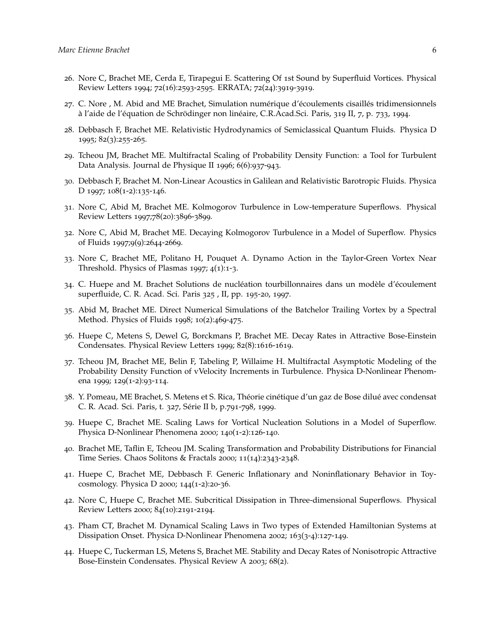- 26. Nore C, Brachet ME, Cerda E, Tirapegui E. Scattering Of 1st Sound by Superfluid Vortices. Physical Review Letters 1994; 72(16):2593-2595. ERRATA; 72(24):3919-3919.
- 27. C. Nore , M. Abid and ME Brachet, Simulation numérique d'écoulements cisaillés tridimensionnels à l'aide de l'équation de Schrödinger non linéaire, C.R.Acad.Sci. Paris, 319 II, 7, p. 733, 1994.
- 28. Debbasch F, Brachet ME. Relativistic Hydrodynamics of Semiclassical Quantum Fluids. Physica D 1995; 82(3):255-265.
- 29. Tcheou JM, Brachet ME. Multifractal Scaling of Probability Density Function: a Tool for Turbulent Data Analysis. Journal de Physique II 1996; 6(6):937-943.
- 30. Debbasch F, Brachet M. Non-Linear Acoustics in Galilean and Relativistic Barotropic Fluids. Physica D 1997; 108(1-2):135-146.
- 31. Nore C, Abid M, Brachet ME. Kolmogorov Turbulence in Low-temperature Superflows. Physical Review Letters 1997;78(20):3896-3899.
- 32. Nore C, Abid M, Brachet ME. Decaying Kolmogorov Turbulence in a Model of Superflow. Physics of Fluids 1997;9(9):2644-2669.
- 33. Nore C, Brachet ME, Politano H, Pouquet A. Dynamo Action in the Taylor-Green Vortex Near Threshold. Physics of Plasmas 1997; 4(1):1-3.
- 34. C. Huepe and M. Brachet Solutions de nucléation tourbillonnaires dans un modèle d'écoulement superfluide, C. R. Acad. Sci. Paris 325 , II, pp. 195-20, 1997.
- 35. Abid M, Brachet ME. Direct Numerical Simulations of the Batchelor Trailing Vortex by a Spectral Method. Physics of Fluids 1998; 10(2):469-475.
- 36. Huepe C, Metens S, Dewel G, Borckmans P, Brachet ME. Decay Rates in Attractive Bose-Einstein Condensates. Physical Review Letters 1999; 82(8):1616-1619.
- 37. Tcheou JM, Brachet ME, Belin F, Tabeling P, Willaime H. Multifractal Asymptotic Modeling of the Probability Density Function of vVelocity Increments in Turbulence. Physica D-Nonlinear Phenomena 1999; 129(1-2):93-114.
- 38. Y. Pomeau, ME Brachet, S. Metens et S. Rica, Théorie cinétique d'un gaz de Bose dilué avec condensat C. R. Acad. Sci. Paris, t. 327, Série II b, p.791-798, 1999.
- 39. Huepe C, Brachet ME. Scaling Laws for Vortical Nucleation Solutions in a Model of Superflow. Physica D-Nonlinear Phenomena 2000; 140(1-2):126-140.
- 40. Brachet ME, Taflin E, Tcheou JM. Scaling Transformation and Probability Distributions for Financial Time Series. Chaos Solitons & Fractals 2000; 11(14):2343-2348.
- 41. Huepe C, Brachet ME, Debbasch F. Generic Inflationary and Noninflationary Behavior in Toycosmology. Physica D 2000; 144(1-2):20-36.
- 42. Nore C, Huepe C, Brachet ME. Subcritical Dissipation in Three-dimensional Superflows. Physical Review Letters 2000; 84(10):2191-2194.
- 43. Pham CT, Brachet M. Dynamical Scaling Laws in Two types of Extended Hamiltonian Systems at Dissipation Onset. Physica D-Nonlinear Phenomena 2002; 163(3-4):127-149.
- 44. Huepe C, Tuckerman LS, Metens S, Brachet ME. Stability and Decay Rates of Nonisotropic Attractive Bose-Einstein Condensates. Physical Review A 2003; 68(2).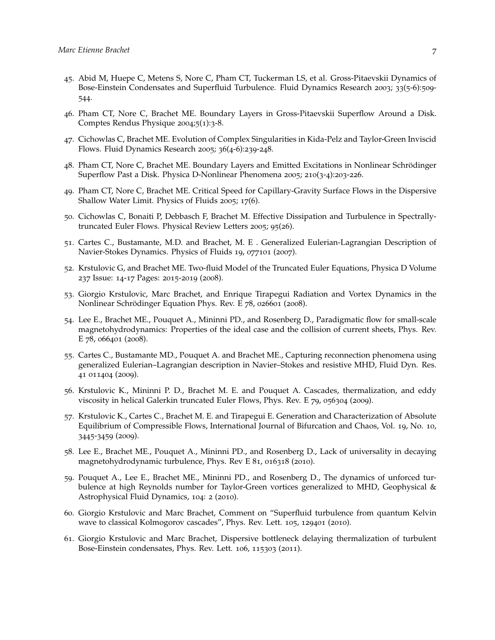- 45. Abid M, Huepe C, Metens S, Nore C, Pham CT, Tuckerman LS, et al. Gross-Pitaevskii Dynamics of Bose-Einstein Condensates and Superfluid Turbulence. Fluid Dynamics Research 2003; 33(5-6):509- 544.
- 46. Pham CT, Nore C, Brachet ME. Boundary Layers in Gross-Pitaevskii Superflow Around a Disk. Comptes Rendus Physique 2004;5(1):3-8.
- 47. Cichowlas C, Brachet ME. Evolution of Complex Singularities in Kida-Pelz and Taylor-Green Inviscid Flows. Fluid Dynamics Research 2005; 36(4-6):239-248.
- 48. Pham CT, Nore C, Brachet ME. Boundary Layers and Emitted Excitations in Nonlinear Schrödinger Superflow Past a Disk. Physica D-Nonlinear Phenomena 2005; 210(3-4):203-226.
- 49. Pham CT, Nore C, Brachet ME. Critical Speed for Capillary-Gravity Surface Flows in the Dispersive Shallow Water Limit. Physics of Fluids 2005; 17(6).
- 50. Cichowlas C, Bonaiti P, Debbasch F, Brachet M. Effective Dissipation and Turbulence in Spectrallytruncated Euler Flows. Physical Review Letters 2005; 95(26).
- 51. Cartes C., Bustamante, M.D. and Brachet, M. E . Generalized Eulerian-Lagrangian Description of Navier-Stokes Dynamics. Physics of Fluids 19, 077101 (2007).
- 52. Krstulovic G, and Brachet ME. Two-fluid Model of the Truncated Euler Equations, Physica D Volume 237 Issue: 14-17 Pages: 2015-2019 (2008).
- 53. Giorgio Krstulovic, Marc Brachet, and Enrique Tirapegui Radiation and Vortex Dynamics in the Nonlinear Schrödinger Equation Phys. Rev. E 78, 026601 (2008).
- 54. Lee E., Brachet ME., Pouquet A., Mininni PD., and Rosenberg D., Paradigmatic flow for small-scale magnetohydrodynamics: Properties of the ideal case and the collision of current sheets, Phys. Rev. E 78, 066401 (2008).
- 55. Cartes C., Bustamante MD., Pouquet A. and Brachet ME., Capturing reconnection phenomena using generalized Eulerian–Lagrangian description in Navier–Stokes and resistive MHD, Fluid Dyn. Res. 41 011404 (2009).
- 56. Krstulovic K., Mininni P. D., Brachet M. E. and Pouquet A. Cascades, thermalization, and eddy viscosity in helical Galerkin truncated Euler Flows, Phys. Rev. E 79, 056304 (2009).
- 57. Krstulovic K., Cartes C., Brachet M. E. and Tirapegui E. Generation and Characterization of Absolute Equilibrium of Compressible Flows, International Journal of Bifurcation and Chaos, Vol. 19, No. 10, 3445-3459 (2009).
- 58. Lee E., Brachet ME., Pouquet A., Mininni PD., and Rosenberg D., Lack of universality in decaying magnetohydrodynamic turbulence, Phys. Rev E 81, 016318 (2010).
- 59. Pouquet A., Lee E., Brachet ME., Mininni PD., and Rosenberg D., The dynamics of unforced turbulence at high Reynolds number for Taylor-Green vortices generalized to MHD, Geophysical & Astrophysical Fluid Dynamics, 104: 2 (2010).
- 60. Giorgio Krstulovic and Marc Brachet, Comment on "Superfluid turbulence from quantum Kelvin wave to classical Kolmogorov cascades", Phys. Rev. Lett. 105, 129401 (2010).
- 61. Giorgio Krstulovic and Marc Brachet, Dispersive bottleneck delaying thermalization of turbulent Bose-Einstein condensates, Phys. Rev. Lett. 106, 115303 (2011).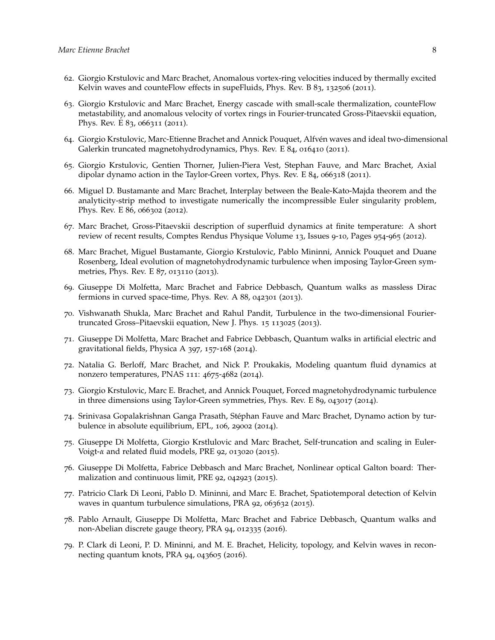- 62. Giorgio Krstulovic and Marc Brachet, Anomalous vortex-ring velocities induced by thermally excited Kelvin waves and counteFlow effects in supeFluids, Phys. Rev. B 83, 132506 (2011).
- 63. Giorgio Krstulovic and Marc Brachet, Energy cascade with small-scale thermalization, counteFlow metastability, and anomalous velocity of vortex rings in Fourier-truncated Gross-Pitaevskii equation, Phys. Rev. E 83, 066311 (2011).
- 64. Giorgio Krstulovic, Marc-Etienne Brachet and Annick Pouquet, Alfvén waves and ideal two-dimensional Galerkin truncated magnetohydrodynamics, Phys. Rev. E 84, 016410 (2011).
- 65. Giorgio Krstulovic, Gentien Thorner, Julien-Piera Vest, Stephan Fauve, and Marc Brachet, Axial dipolar dynamo action in the Taylor-Green vortex, Phys. Rev. E 84, 066318 (2011).
- 66. Miguel D. Bustamante and Marc Brachet, Interplay between the Beale-Kato-Majda theorem and the analyticity-strip method to investigate numerically the incompressible Euler singularity problem, Phys. Rev. E 86, 066302 (2012).
- 67. Marc Brachet, Gross-Pitaevskii description of superfluid dynamics at finite temperature: A short review of recent results, Comptes Rendus Physique Volume 13, Issues 9-10, Pages 954-965 (2012).
- 68. Marc Brachet, Miguel Bustamante, Giorgio Krstulovic, Pablo Mininni, Annick Pouquet and Duane Rosenberg, Ideal evolution of magnetohydrodynamic turbulence when imposing Taylor-Green symmetries, Phys. Rev. E 87, 013110 (2013).
- 69. Giuseppe Di Molfetta, Marc Brachet and Fabrice Debbasch, Quantum walks as massless Dirac fermions in curved space-time, Phys. Rev. A 88, 042301 (2013).
- 70. Vishwanath Shukla, Marc Brachet and Rahul Pandit, Turbulence in the two-dimensional Fouriertruncated Gross–Pitaevskii equation, New J. Phys. 15 113025 (2013).
- 71. Giuseppe Di Molfetta, Marc Brachet and Fabrice Debbasch, Quantum walks in artificial electric and gravitational fields, Physica A 397, 157-168 (2014).
- 72. Natalia G. Berloff, Marc Brachet, and Nick P. Proukakis, Modeling quantum fluid dynamics at nonzero temperatures, PNAS 111: 4675-4682 (2014).
- 73. Giorgio Krstulovic, Marc E. Brachet, and Annick Pouquet, Forced magnetohydrodynamic turbulence in three dimensions using Taylor-Green symmetries, Phys. Rev. E 89, 043017 (2014).
- 74. Srinivasa Gopalakrishnan Ganga Prasath, Stéphan Fauve and Marc Brachet, Dynamo action by turbulence in absolute equilibrium, EPL, 106, 29002 (2014).
- 75. Giuseppe Di Molfetta, Giorgio Krstlulovic and Marc Brachet, Self-truncation and scaling in Euler-Voigt-*α* and related fluid models, PRE 92, 013020 (2015).
- 76. Giuseppe Di Molfetta, Fabrice Debbasch and Marc Brachet, Nonlinear optical Galton board: Thermalization and continuous limit, PRE 92, 042923 (2015).
- 77. Patricio Clark Di Leoni, Pablo D. Mininni, and Marc E. Brachet, Spatiotemporal detection of Kelvin waves in quantum turbulence simulations, PRA 92, 063632 (2015).
- 78. Pablo Arnault, Giuseppe Di Molfetta, Marc Brachet and Fabrice Debbasch, Quantum walks and non-Abelian discrete gauge theory, PRA 94, 012335 (2016).
- 79. P. Clark di Leoni, P. D. Mininni, and M. E. Brachet, Helicity, topology, and Kelvin waves in reconnecting quantum knots, PRA 94, 043605 (2016).